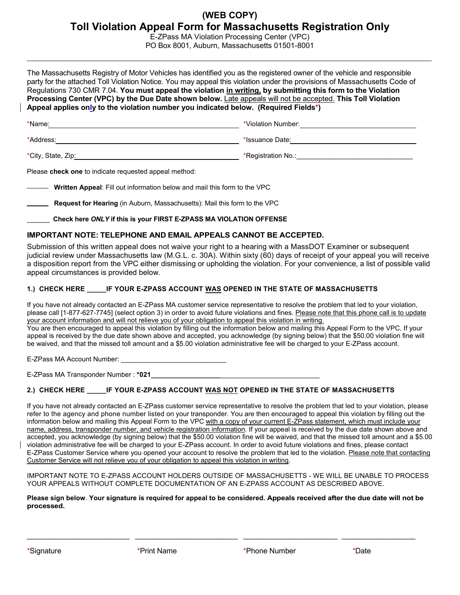# **(WEB COPY) Toll Violation Appeal Form for Massachusetts Registration Only**

E-ZPass MA Violation Processing Center (VPC) PO Box 8001, Auburn, Massachusetts 01501-8001

The Massachusetts Registry of Motor Vehicles has identified you as the registered owner of the vehicle and responsible party for the attached Toll Violation Notice. You may appeal this violation under the provisions of Massachusetts Code of Regulations 730 CMR 7.04. **You must appeal the violation in writing, by submitting this form to the Violation Processing Center (VPC) by the Due Date shown below.** Late appeals will not be accepted. **This Toll Violation Appeal applies only to the violation number you indicated below. (Required Fields\*)** 

| *Name:             | *Violation Number: |
|--------------------|--------------------|
| *Address:          | *Issuance Date:    |
| *City, State, Zip: | *Registration No.: |

Please **check one** to indicate requested appeal method:

**Written Appeal**: Fill out information below and mail this form to the VPC

**Request for Hearing** (in Auburn, Massachusetts): Mail this form to the VPC

\_\_\_\_\_\_ **Check here** *ONLY* **if this is your FIRST E-ZPASS MA VIOLATION OFFENSE** 

### **IMPORTANT NOTE: TELEPHONE AND EMAIL APPEALS CANNOT BE ACCEPTED.**

Submission of this written appeal does not waive your right to a hearing with a MassDOT Examiner or subsequent judicial review under Massachusetts law (M.G.L. c. 30A). Within sixty (60) days of receipt of your appeal you will receive a disposition report from the VPC either dismissing or upholding the violation. For your convenience, a list of possible valid appeal circumstances is provided below.

## **1.) CHECK HERE \_\_\_\_\_IF YOUR E-ZPASS ACCOUNT WAS OPENED IN THE STATE OF MASSACHUSETTS**

If you have not already contacted an E-ZPass MA customer service representative to resolve the problem that led to your violation, please call [1-877-627-7745] (select option 3) in order to avoid future violations and fines. Please note that this phone call is to update your account information and will not relieve you of your obligation to appeal this violation in writing. You are then encouraged to appeal this violation by filling out the information below and mailing this Appeal Form to the VPC. If your

appeal is received by the due date shown above and accepted, you acknowledge (by signing below) that the \$50.00 violation fine will be waived, and that the missed toll amount and a \$5.00 violation administrative fee will be charged to your E-ZPass account.

E-ZPass MA Account Number:

E-ZPass MA Transponder Number : **\*021\_\_\_\_\_\_\_\_\_\_\_\_\_\_\_\_\_\_**\_\_\_\_\_\_\_\_\_\_\_\_\_\_\_\_\_\_\_\_\_\_\_\_\_\_

### **2.) CHECK HERE \_\_\_\_\_IF YOUR E-ZPASS ACCOUNT WAS NOT OPENED IN THE STATE OF MASSACHUSETTS**

If you have not already contacted an E-ZPass customer service representative to resolve the problem that led to your violation, please refer to the agency and phone number listed on your transponder. You are then encouraged to appeal this violation by filling out the information below and mailing this Appeal Form to the VPC with a copy of your current E-ZPass statement, which must include your name, address, transponder number, and vehicle registration information. If your appeal is received by the due date shown above and accepted, you acknowledge (by signing below) that the \$50.00 violation fine will be waived, and that the missed toll amount and a \$5.00 violation administrative fee will be charged to your E-ZPass account. In order to avoid future violations and fines, please contact E-ZPass Customer Service where you opened your account to resolve the problem that led to the violation. Please note that contacting Customer Service will not relieve you of your obligation to appeal this violation in writing.

IMPORTANT NOTE TO E-ZPASS ACCOUNT HOLDERS OUTSIDE OF MASSACHUSETTS - WE WILL BE UNABLE TO PROCESS YOUR APPEALS WITHOUT COMPLETE DOCUMENTATION OF AN E-ZPASS ACCOUNT AS DESCRIBED ABOVE.

**Please sign below**. **Your signature is required for appeal to be considered. Appeals received after the due date will not be processed.**

 $\_$  ,  $\_$  ,  $\_$  ,  $\_$  ,  $\_$  ,  $\_$  ,  $\_$  ,  $\_$  ,  $\_$  ,  $\_$  ,  $\_$  ,  $\_$  ,  $\_$  ,  $\_$  ,  $\_$  ,  $\_$  ,  $\_$  ,  $\_$  ,  $\_$  ,  $\_$  ,  $\_$  ,  $\_$  ,  $\_$  ,  $\_$  ,  $\_$  ,  $\_$  ,  $\_$  ,  $\_$  ,  $\_$  ,  $\_$  ,  $\_$  ,  $\_$  ,  $\_$  ,  $\_$  ,  $\_$  ,  $\_$  ,  $\_$  ,